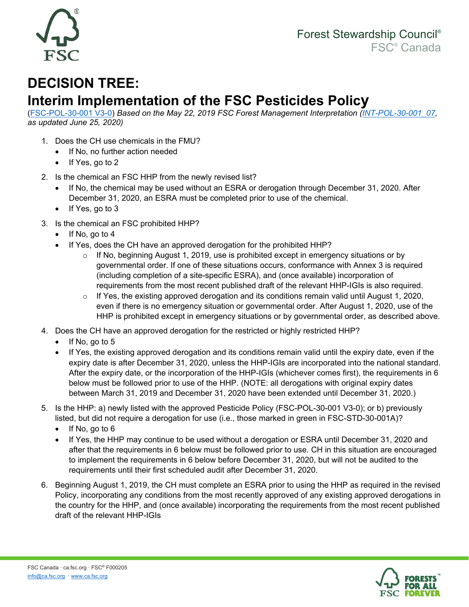

## **DECISION TREE:**

## **Interim Implementation of the FSC Pesticides Policy**

[\(FSC-POL-30-001 V3-0\)](https://ic.fsc.org/en/document-center/id/374) *Based on the May 22, 2019 FSC Forest Management Interpretation [\(INT-POL-30-001\\_07,](https://ic.fsc.org/en/document-center/id/110) as updated June 25, 2020)*

- 1. Does the CH use chemicals in the FMU?
	- If No, no further action needed
	- If Yes, go to 2
- 2. Is the chemical an FSC HHP from the newly revised list?
	- If No, the chemical may be used without an ESRA or derogation through December 31, 2020. After December 31, 2020, an ESRA must be completed prior to use of the chemical.
	- If Yes, go to 3
- 3. Is the chemical an FSC prohibited HHP?
	- If No, go to 4
	- If Yes, does the CH have an approved derogation for the prohibited HHP?
		- $\circ$  If No, beginning August 1, 2019, use is prohibited except in emergency situations or by governmental order. If one of these situations occurs, conformance with Annex 3 is required (including completion of a site-specific ESRA), and (once available) incorporation of requirements from the most recent published draft of the relevant HHP-IGIs is also required.
		- $\circ$  If Yes, the existing approved derogation and its conditions remain valid until August 1, 2020, even if there is no emergency situation or governmental order. After August 1, 2020, use of the HHP is prohibited except in emergency situations or by governmental order, as described above.
- 4. Does the CH have an approved derogation for the restricted or highly restricted HHP?
	- If No, go to 5
	- If Yes, the existing approved derogation and its conditions remain valid until the expiry date, even if the expiry date is after December 31, 2020, unless the HHP-IGIs are incorporated into the national standard. After the expiry date, or the incorporation of the HHP-IGIs (whichever comes first), the requirements in 6 below must be followed prior to use of the HHP. (NOTE: all derogations with original expiry dates between March 31, 2019 and December 31, 2020 have been extended until December 31, 2020.)
- 5. Is the HHP: a) newly listed with the approved Pesticide Policy (FSC-POL-30-001 V3-0); or b) previously listed, but did not require a derogation for use (i.e., those marked in green in FSC-STD-30-001A)?
	- If No, go to 6
	- If Yes, the HHP may continue to be used without a derogation or ESRA until December 31, 2020 and after that the requirements in 6 below must be followed prior to use. CH in this situation are encouraged to implement the requirements in 6 below before December 31, 2020, but will not be audited to the requirements until their first scheduled audit after December 31, 2020.
- 6. Beginning August 1, 2019, the CH must complete an ESRA prior to using the HHP as required in the revised Policy, incorporating any conditions from the most recently approved of any existing approved derogations in the country for the HHP, and (once available) incorporating the requirements from the most recent published draft of the relevant HHP-IGIs